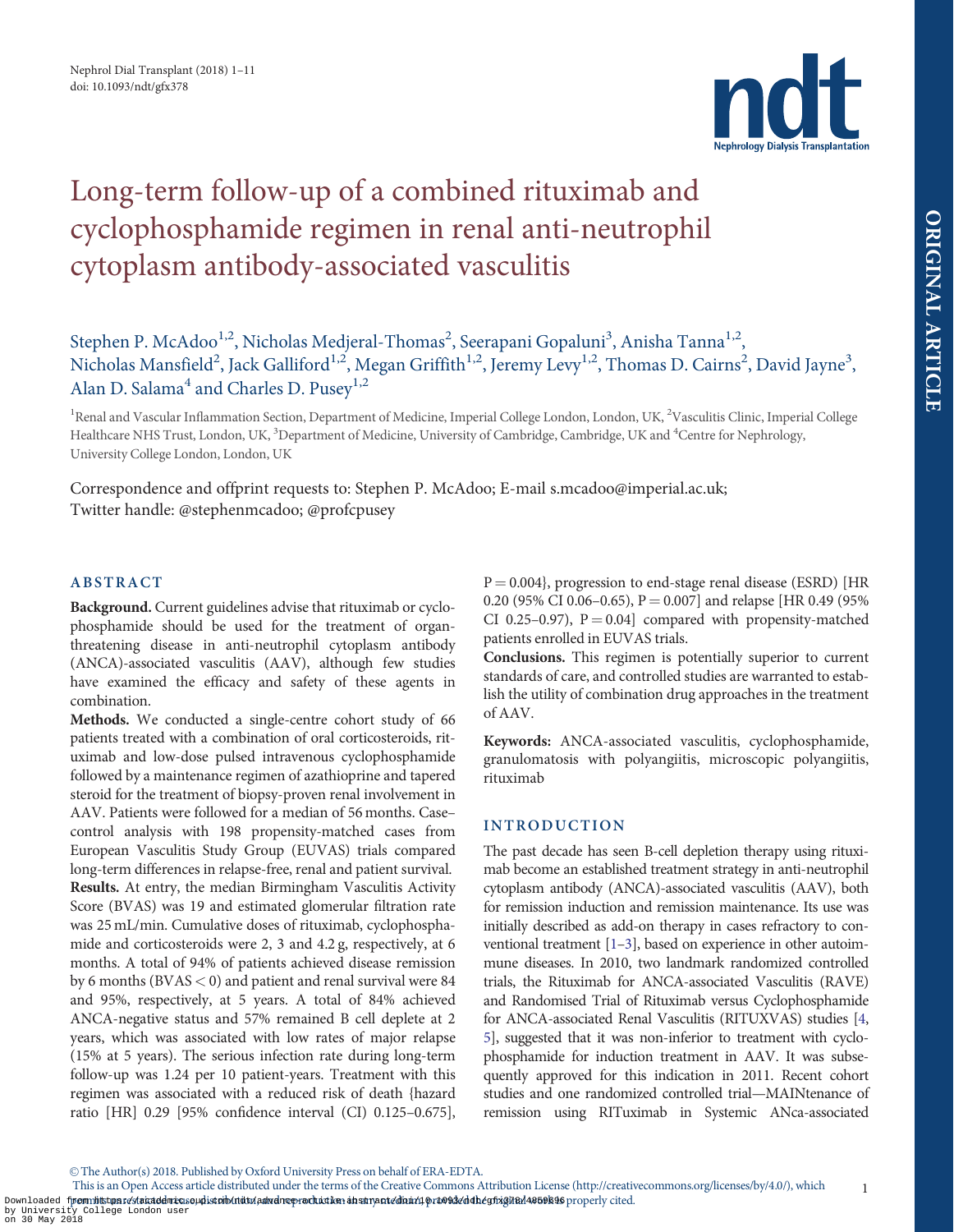

# <span id="page-0-0"></span>Long-term follow-up of a combined rituximab and cyclophosphamide regimen in renal anti-neutrophil cytoplasm antibody-associated vasculitis

Stephen P. McAdoo<sup>1,2</sup>, Nicholas Medjeral-Thomas<sup>2</sup>, Seerapani Gopaluni<sup>3</sup>, Anisha Tanna<sup>1,2</sup>, Nicholas Mansfield $^2$ , Jack Galliford $^{1,2}$ , Megan Griffith $^{1,2}$ , Jeremy Levy $^{1,2}$ , Thomas D. Cairns $^2$ , David Jayne $^3$ , Alan D. Salama<sup>4</sup> and Charles D. Pusey<sup>1,2</sup>

<sup>1</sup>Renal and Vascular Inflammation Section, Department of Medicine, Imperial College London, London, UK, <sup>2</sup>Vasculitis Clinic, Imperial College Healthcare NHS Trust, London, UK, <sup>3</sup>Department of Medicine, University of Cambridge, Cambridge, UK and <sup>4</sup>Centre for Nephrology, University College London, London, UK

Correspondence and offprint requests to: Stephen P. McAdoo; E-mail s.mcadoo@imperial.ac.uk; Twitter handle: @stephenmcadoo; @profcpusey

# ABSTRACT

Background. Current guidelines advise that rituximab or cyclophosphamide should be used for the treatment of organthreatening disease in anti-neutrophil cytoplasm antibody (ANCA)-associated vasculitis (AAV), although few studies have examined the efficacy and safety of these agents in combination.

Methods. We conducted a single-centre cohort study of 66 patients treated with a combination of oral corticosteroids, rituximab and low-dose pulsed intravenous cyclophosphamide followed by a maintenance regimen of azathioprine and tapered steroid for the treatment of biopsy-proven renal involvement in AAV. Patients were followed for a median of 56 months. Case– control analysis with 198 propensity-matched cases from European Vasculitis Study Group (EUVAS) trials compared long-term differences in relapse-free, renal and patient survival. Results. At entry, the median Birmingham Vasculitis Activity Score (BVAS) was 19 and estimated glomerular filtration rate was 25 mL/min. Cumulative doses of rituximab, cyclophosphamide and corticosteroids were 2, 3 and 4.2 g, respectively, at 6 months. A total of 94% of patients achieved disease remission by 6 months ( $\rm BVAS < 0$ ) and patient and renal survival were 84 and 95%, respectively, at 5 years. A total of 84% achieved ANCA-negative status and 57% remained B cell deplete at 2 years, which was associated with low rates of major relapse (15% at 5 years). The serious infection rate during long-term follow-up was 1.24 per 10 patient-years. Treatment with this regimen was associated with a reduced risk of death {hazard ratio [HR] 0.29 [95% confidence interval (CI) 0.125–0.675],  $P = 0.004$ , progression to end-stage renal disease (ESRD) [HR 0.20 (95% CI 0.06–0.65),  $P = 0.007$  and relapse [HR 0.49 (95% CI 0.25–0.97),  $P = 0.04$  compared with propensity-matched patients enrolled in EUVAS trials.

Conclusions. This regimen is potentially superior to current standards of care, and controlled studies are warranted to establish the utility of combination drug approaches in the treatment of AAV.

Keywords: ANCA-associated vasculitis, cyclophosphamide, granulomatosis with polyangiitis, microscopic polyangiitis, rituximab

# INTRODUCTION

The past decade has seen B-cell depletion therapy using rituximab become an established treatment strategy in anti-neutrophil cytoplasm antibody (ANCA)-associated vasculitis (AAV), both for remission induction and remission maintenance. Its use was initially described as add-on therapy in cases refractory to conventional treatment [[1–3\]](#page-9-0), based on experience in other autoimmune diseases. In 2010, two landmark randomized controlled trials, the Rituximab for ANCA-associated Vasculitis (RAVE) and Randomised Trial of Rituximab versus Cyclophosphamide for ANCA-associated Renal Vasculitis (RITUXVAS) studies [\[4,](#page-9-0) [5](#page-9-0)], suggested that it was non-inferior to treatment with cyclophosphamide for induction treatment in AAV. It was subsequently approved for this indication in 2011. Recent cohort studies and one randomized controlled trial—MAINtenance of remission using RITuximab in Systemic ANca-associated

V<sup>C</sup> The Author(s) 2018. Published by Oxford University Press on behalf of ERA-EDTA.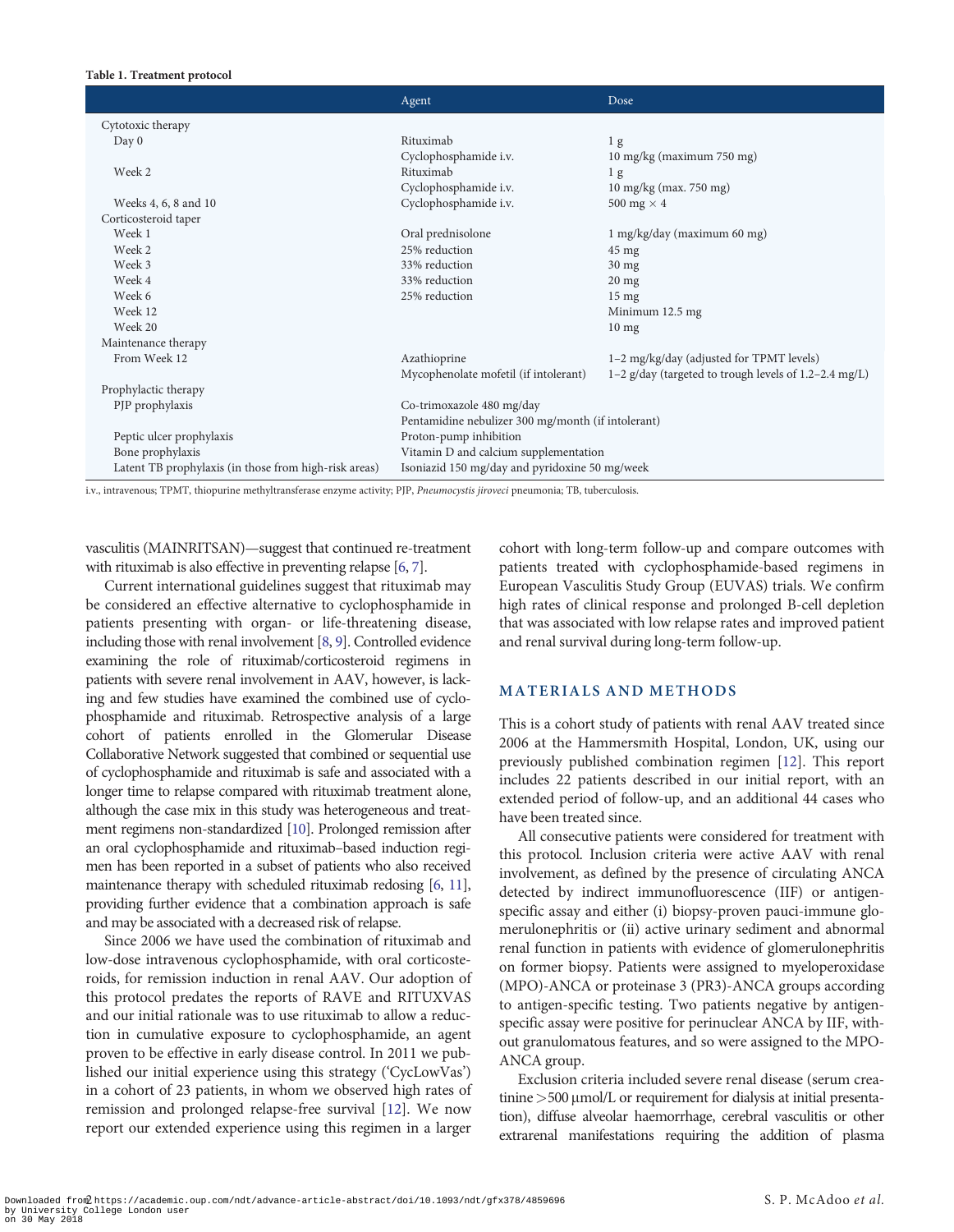#### <span id="page-1-0"></span>Table 1. Treatment protocol

|                                                       | Agent                                              | Dose                                                    |
|-------------------------------------------------------|----------------------------------------------------|---------------------------------------------------------|
| Cytotoxic therapy                                     |                                                    |                                                         |
| Day 0                                                 | Rituximab                                          | 1 <sub>g</sub>                                          |
|                                                       | Cyclophosphamide i.v.                              | 10 mg/kg (maximum 750 mg)                               |
| Week 2                                                | Rituximab                                          | 1 <sub>g</sub>                                          |
|                                                       | Cyclophosphamide i.v.                              | 10 mg/kg (max. 750 mg)                                  |
| Weeks 4, 6, 8 and 10                                  | Cyclophosphamide i.v.                              | 500 mg $\times$ 4                                       |
| Corticosteroid taper                                  |                                                    |                                                         |
| Week 1                                                | Oral prednisolone                                  | 1 mg/kg/day (maximum 60 mg)                             |
| Week 2                                                | 25% reduction                                      | $45 \text{ mg}$                                         |
| Week 3                                                | 33% reduction                                      | $30$ mg                                                 |
| Week 4                                                | 33% reduction                                      | $20 \text{ mg}$                                         |
| Week 6                                                | 25% reduction                                      | $15 \text{ mg}$                                         |
| Week 12                                               |                                                    | Minimum 12.5 mg                                         |
| Week 20                                               |                                                    | $10 \text{ mg}$                                         |
| Maintenance therapy                                   |                                                    |                                                         |
| From Week 12                                          | Azathioprine                                       | 1-2 mg/kg/day (adjusted for TPMT levels)                |
|                                                       | Mycophenolate mofetil (if intolerant)              | 1-2 $g/day$ (targeted to trough levels of 1.2-2.4 mg/L) |
| Prophylactic therapy                                  |                                                    |                                                         |
| PJP prophylaxis                                       | Co-trimoxazole 480 mg/day                          |                                                         |
|                                                       | Pentamidine nebulizer 300 mg/month (if intolerant) |                                                         |
| Peptic ulcer prophylaxis                              | Proton-pump inhibition                             |                                                         |
| Bone prophylaxis                                      | Vitamin D and calcium supplementation              |                                                         |
| Latent TB prophylaxis (in those from high-risk areas) | Isoniazid 150 mg/day and pyridoxine 50 mg/week     |                                                         |

i.v., intravenous; TPMT, thiopurine methyltransferase enzyme activity; PJP, Pneumocystis jiroveci pneumonia; TB, tuberculosis.

vasculitis (MAINRITSAN)—suggest that continued re-treatment with rituximab is also effective in preventing relapse [[6](#page-9-0), [7](#page-9-0)].

Current international guidelines suggest that rituximab may be considered an effective alternative to cyclophosphamide in patients presenting with organ- or life-threatening disease, including those with renal involvement [[8](#page-9-0), [9\]](#page-10-0). Controlled evidence examining the role of rituximab/corticosteroid regimens in patients with severe renal involvement in AAV, however, is lacking and few studies have examined the combined use of cyclophosphamide and rituximab. Retrospective analysis of a large cohort of patients enrolled in the Glomerular Disease Collaborative Network suggested that combined or sequential use of cyclophosphamide and rituximab is safe and associated with a longer time to relapse compared with rituximab treatment alone, although the case mix in this study was heterogeneous and treatment regimens non-standardized [\[10](#page-10-0)]. Prolonged remission after an oral cyclophosphamide and rituximab–based induction regimen has been reported in a subset of patients who also received maintenance therapy with scheduled rituximab redosing [\[6,](#page-9-0) [11](#page-10-0)], providing further evidence that a combination approach is safe and may be associated with a decreased risk of relapse.

Since 2006 we have used the combination of rituximab and low-dose intravenous cyclophosphamide, with oral corticosteroids, for remission induction in renal AAV. Our adoption of this protocol predates the reports of RAVE and RITUXVAS and our initial rationale was to use rituximab to allow a reduction in cumulative exposure to cyclophosphamide, an agent proven to be effective in early disease control. In 2011 we published our initial experience using this strategy ('CycLowVas') in a cohort of 23 patients, in whom we observed high rates of remission and prolonged relapse-free survival [\[12\]](#page-10-0). We now report our extended experience using this regimen in a larger

cohort with long-term follow-up and compare outcomes with patients treated with cyclophosphamide-based regimens in European Vasculitis Study Group (EUVAS) trials. We confirm high rates of clinical response and prolonged B-cell depletion that was associated with low relapse rates and improved patient and renal survival during long-term follow-up.

## MATERIALS AND METHODS

This is a cohort study of patients with renal AAV treated since 2006 at the Hammersmith Hospital, London, UK, using our previously published combination regimen [\[12\]](#page-10-0). This report includes 22 patients described in our initial report, with an extended period of follow-up, and an additional 44 cases who have been treated since.

All consecutive patients were considered for treatment with this protocol. Inclusion criteria were active AAV with renal involvement, as defined by the presence of circulating ANCA detected by indirect immunofluorescence (IIF) or antigenspecific assay and either (i) biopsy-proven pauci-immune glomerulonephritis or (ii) active urinary sediment and abnormal renal function in patients with evidence of glomerulonephritis on former biopsy. Patients were assigned to myeloperoxidase (MPO)-ANCA or proteinase 3 (PR3)-ANCA groups according to antigen-specific testing. Two patients negative by antigenspecific assay were positive for perinuclear ANCA by IIF, without granulomatous features, and so were assigned to the MPO-ANCA group.

Exclusion criteria included severe renal disease (serum creatinine  $>500 \mu$ mol/L or requirement for dialysis at initial presentation), diffuse alveolar haemorrhage, cerebral vasculitis or other extrarenal manifestations requiring the addition of plasma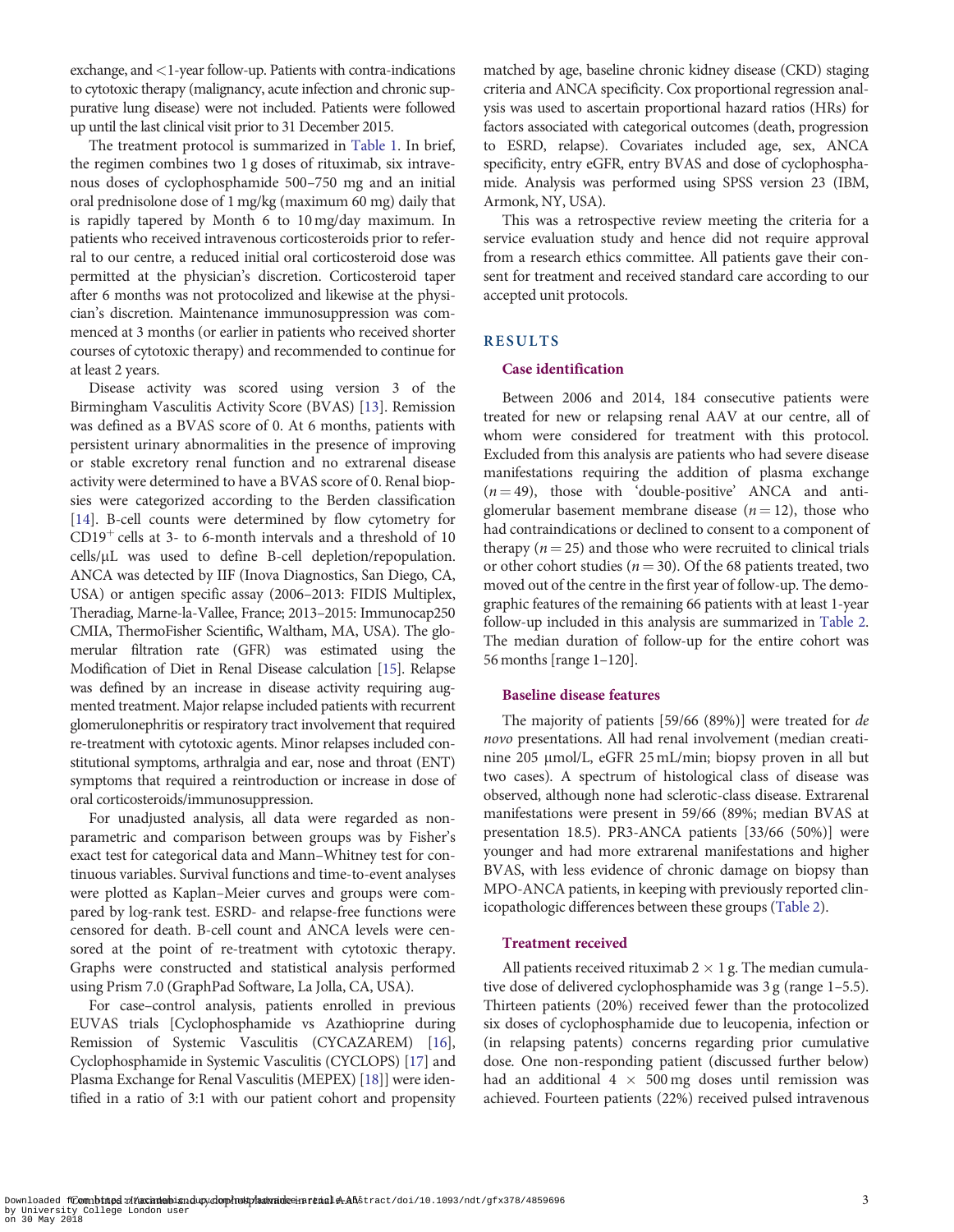<span id="page-2-0"></span>exchange, and<1-year follow-up. Patients with contra-indications to cytotoxic therapy (malignancy, acute infection and chronic suppurative lung disease) were not included. Patients were followed up until the last clinical visit prior to 31 December 2015.

The treatment protocol is summarized in [Table 1](#page-1-0). In brief, the regimen combines two 1 g doses of rituximab, six intravenous doses of cyclophosphamide 500–750 mg and an initial oral prednisolone dose of 1 mg/kg (maximum 60 mg) daily that is rapidly tapered by Month 6 to 10 mg/day maximum. In patients who received intravenous corticosteroids prior to referral to our centre, a reduced initial oral corticosteroid dose was permitted at the physician's discretion. Corticosteroid taper after 6 months was not protocolized and likewise at the physician's discretion. Maintenance immunosuppression was commenced at 3 months (or earlier in patients who received shorter courses of cytotoxic therapy) and recommended to continue for at least 2 years.

Disease activity was scored using version 3 of the Birmingham Vasculitis Activity Score (BVAS) [\[13](#page-10-0)]. Remission was defined as a BVAS score of 0. At 6 months, patients with persistent urinary abnormalities in the presence of improving or stable excretory renal function and no extrarenal disease activity were determined to have a BVAS score of 0. Renal biopsies were categorized according to the Berden classification [\[14\]](#page-10-0). B-cell counts were determined by flow cytometry for  $CD19<sup>+</sup>$  cells at 3- to 6-month intervals and a threshold of 10 cells/µL was used to define B-cell depletion/repopulation. ANCA was detected by IIF (Inova Diagnostics, San Diego, CA, USA) or antigen specific assay (2006–2013: FIDIS Multiplex, Theradiag, Marne-la-Vallee, France; 2013–2015: Immunocap250 CMIA, ThermoFisher Scientific, Waltham, MA, USA). The glomerular filtration rate (GFR) was estimated using the Modification of Diet in Renal Disease calculation [\[15\]](#page-10-0). Relapse was defined by an increase in disease activity requiring augmented treatment. Major relapse included patients with recurrent glomerulonephritis or respiratory tract involvement that required re-treatment with cytotoxic agents. Minor relapses included constitutional symptoms, arthralgia and ear, nose and throat (ENT) symptoms that required a reintroduction or increase in dose of oral corticosteroids/immunosuppression.

For unadjusted analysis, all data were regarded as nonparametric and comparison between groups was by Fisher's exact test for categorical data and Mann–Whitney test for continuous variables. Survival functions and time-to-event analyses were plotted as Kaplan–Meier curves and groups were compared by log-rank test. ESRD- and relapse-free functions were censored for death. B-cell count and ANCA levels were censored at the point of re-treatment with cytotoxic therapy. Graphs were constructed and statistical analysis performed using Prism 7.0 (GraphPad Software, La Jolla, CA, USA).

For case–control analysis, patients enrolled in previous EUVAS trials [Cyclophosphamide vs Azathioprine during Remission of Systemic Vasculitis (CYCAZAREM) [[16](#page-10-0)], Cyclophosphamide in Systemic Vasculitis (CYCLOPS) [[17](#page-10-0)] and Plasma Exchange for Renal Vasculitis (MEPEX) [\[18](#page-10-0)]] were identified in a ratio of 3:1 with our patient cohort and propensity matched by age, baseline chronic kidney disease (CKD) staging criteria and ANCA specificity. Cox proportional regression analysis was used to ascertain proportional hazard ratios (HRs) for factors associated with categorical outcomes (death, progression to ESRD, relapse). Covariates included age, sex, ANCA specificity, entry eGFR, entry BVAS and dose of cyclophosphamide. Analysis was performed using SPSS version 23 (IBM, Armonk, NY, USA).

This was a retrospective review meeting the criteria for a service evaluation study and hence did not require approval from a research ethics committee. All patients gave their consent for treatment and received standard care according to our accepted unit protocols.

# RESULTS

## Case identification

Between 2006 and 2014, 184 consecutive patients were treated for new or relapsing renal AAV at our centre, all of whom were considered for treatment with this protocol. Excluded from this analysis are patients who had severe disease manifestations requiring the addition of plasma exchange  $(n = 49)$ , those with 'double-positive' ANCA and antiglomerular basement membrane disease  $(n = 12)$ , those who had contraindications or declined to consent to a component of therapy ( $n = 25$ ) and those who were recruited to clinical trials or other cohort studies ( $n = 30$ ). Of the 68 patients treated, two moved out of the centre in the first year of follow-up. The demographic features of the remaining 66 patients with at least 1-year follow-up included in this analysis are summarized in [Table 2.](#page-3-0) The median duration of follow-up for the entire cohort was 56 months [range 1–120].

## Baseline disease features

The majority of patients [59/66 (89%)] were treated for de novo presentations. All had renal involvement (median creatinine 205 µmol/L, eGFR 25 mL/min; biopsy proven in all but two cases). A spectrum of histological class of disease was observed, although none had sclerotic-class disease. Extrarenal manifestations were present in 59/66 (89%; median BVAS at presentation 18.5). PR3-ANCA patients [33/66 (50%)] were younger and had more extrarenal manifestations and higher BVAS, with less evidence of chronic damage on biopsy than MPO-ANCA patients, in keeping with previously reported clinicopathologic differences between these groups [\(Table 2\)](#page-3-0).

#### Treatment received

All patients received rituximab  $2 \times 1$  g. The median cumulative dose of delivered cyclophosphamide was 3 g (range 1–5.5). Thirteen patients (20%) received fewer than the protocolized six doses of cyclophosphamide due to leucopenia, infection or (in relapsing patents) concerns regarding prior cumulative dose. One non-responding patient (discussed further below) had an additional 4  $\times$  500 mg doses until remission was achieved. Fourteen patients (22%) received pulsed intravenous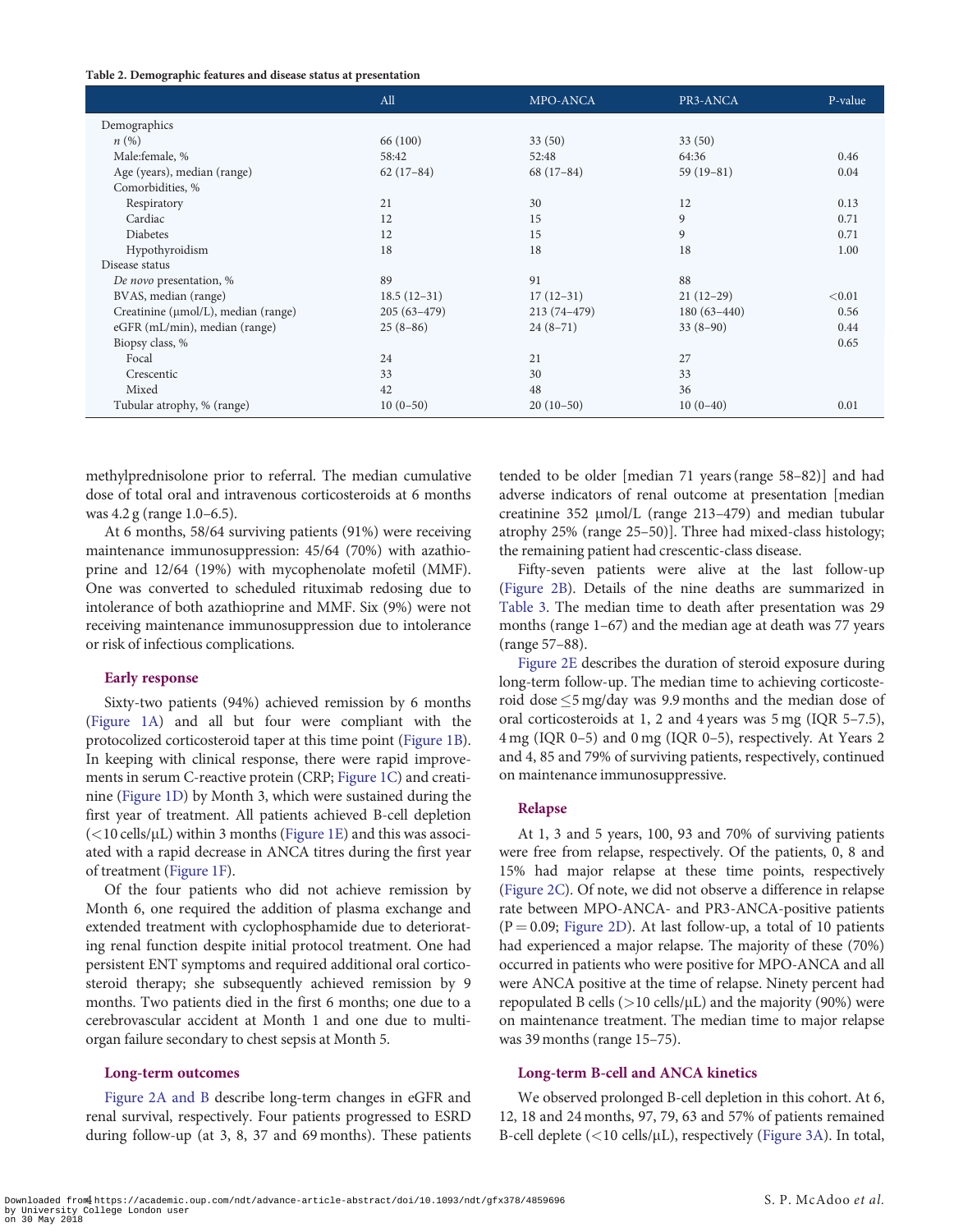#### <span id="page-3-0"></span>Table 2. Demographic features and disease status at presentation

|                                     | All           | MPO-ANCA      | PR3-ANCA      | P-value |
|-------------------------------------|---------------|---------------|---------------|---------|
| Demographics                        |               |               |               |         |
| n(%)                                | 66 (100)      | 33(50)        | 33(50)        |         |
| Male:female, %                      | 58:42         | 52:48         | 64:36         | 0.46    |
| Age (years), median (range)         | $62(17-84)$   | $68(17-84)$   | $59(19-81)$   | 0.04    |
| Comorbidities, %                    |               |               |               |         |
| Respiratory                         | 21            | 30            | 12            | 0.13    |
| Cardiac                             | 12            | 15            | 9             | 0.71    |
| <b>Diabetes</b>                     | 12            | 15            | 9             | 0.71    |
| Hypothyroidism                      | 18            | 18            | 18            | 1.00    |
| Disease status                      |               |               |               |         |
| De novo presentation, %             | 89            | 91            | 88            |         |
| BVAS, median (range)                | $18.5(12-31)$ | $17(12-31)$   | $21(12-29)$   | < 0.01  |
| Creatinine (µmol/L), median (range) | $205(63-479)$ | $213(74-479)$ | $180(63-440)$ | 0.56    |
| eGFR (mL/min), median (range)       | $25(8-86)$    | $24(8-71)$    | $33(8-90)$    | 0.44    |
| Biopsy class, %                     |               |               |               | 0.65    |
| Focal                               | 24            | 21            | 27            |         |
| Crescentic                          | 33            | 30            | 33            |         |
| Mixed                               | 42            | 48            | 36            |         |
| Tubular atrophy, % (range)          | $10(0-50)$    | $20(10-50)$   | $10(0-40)$    | 0.01    |

methylprednisolone prior to referral. The median cumulative dose of total oral and intravenous corticosteroids at 6 months was 4.2 g (range 1.0–6.5).

At 6 months, 58/64 surviving patients (91%) were receiving maintenance immunosuppression: 45/64 (70%) with azathioprine and 12/64 (19%) with mycophenolate mofetil (MMF). One was converted to scheduled rituximab redosing due to intolerance of both azathioprine and MMF. Six (9%) were not receiving maintenance immunosuppression due to intolerance or risk of infectious complications.

## Early response

Sixty-two patients (94%) achieved remission by 6 months [\(Figure 1A\)](#page-4-0) and all but four were compliant with the protocolized corticosteroid taper at this time point [\(Figure 1B\)](#page-4-0). In keeping with clinical response, there were rapid improvements in serum C-reactive protein (CRP; [Figure 1C\)](#page-4-0) and creatinine [\(Figure 1D\)](#page-4-0) by Month 3, which were sustained during the first year of treatment. All patients achieved B-cell depletion  $(<$ 10 cells/ $\mu$ L) within 3 months [\(Figure 1E](#page-4-0)) and this was associated with a rapid decrease in ANCA titres during the first year of treatment ([Figure 1F\)](#page-4-0).

Of the four patients who did not achieve remission by Month 6, one required the addition of plasma exchange and extended treatment with cyclophosphamide due to deteriorating renal function despite initial protocol treatment. One had persistent ENT symptoms and required additional oral corticosteroid therapy; she subsequently achieved remission by 9 months. Two patients died in the first 6 months; one due to a cerebrovascular accident at Month 1 and one due to multiorgan failure secondary to chest sepsis at Month 5.

#### Long-term outcomes

[Figure 2A and B](#page-5-0) describe long-term changes in eGFR and renal survival, respectively. Four patients progressed to ESRD during follow-up (at 3, 8, 37 and 69 months). These patients tended to be older [median 71 years (range 58–82)] and had adverse indicators of renal outcome at presentation [median creatinine 352  $\mu$ mol/L (range 213–479) and median tubular atrophy 25% (range 25–50)]. Three had mixed-class histology; the remaining patient had crescentic-class disease.

Fifty-seven patients were alive at the last follow-up ([Figure 2B](#page-5-0)). Details of the nine deaths are summarized in [Table 3.](#page-6-0) The median time to death after presentation was 29 months (range 1–67) and the median age at death was 77 years (range 57–88).

[Figure 2E](#page-5-0) describes the duration of steroid exposure during long-term follow-up. The median time to achieving corticosteroid dose  $\leq$ 5 mg/day was 9.9 months and the median dose of oral corticosteroids at 1, 2 and 4 years was 5 mg (IQR 5–7.5), 4 mg (IQR 0–5) and 0 mg (IQR 0–5), respectively. At Years 2 and 4, 85 and 79% of surviving patients, respectively, continued on maintenance immunosuppressive.

## Relapse

At 1, 3 and 5 years, 100, 93 and 70% of surviving patients were free from relapse, respectively. Of the patients, 0, 8 and 15% had major relapse at these time points, respectively ([Figure 2C\)](#page-5-0). Of note, we did not observe a difference in relapse rate between MPO-ANCA- and PR3-ANCA-positive patients  $(P = 0.09;$  [Figure 2D](#page-5-0)). At last follow-up, a total of 10 patients had experienced a major relapse. The majority of these (70%) occurred in patients who were positive for MPO-ANCA and all were ANCA positive at the time of relapse. Ninety percent had repopulated B cells ( $>$ 10 cells/ $\mu$ L) and the majority (90%) were on maintenance treatment. The median time to major relapse was 39 months (range 15–75).

#### Long-term B-cell and ANCA kinetics

We observed prolonged B-cell depletion in this cohort. At 6, 12, 18 and 24 months, 97, 79, 63 and 57% of patients remained B-cell deplete  $(<$ 10 cells/ $\mu$ L), respectively ([Figure 3A\)](#page-7-0). In total,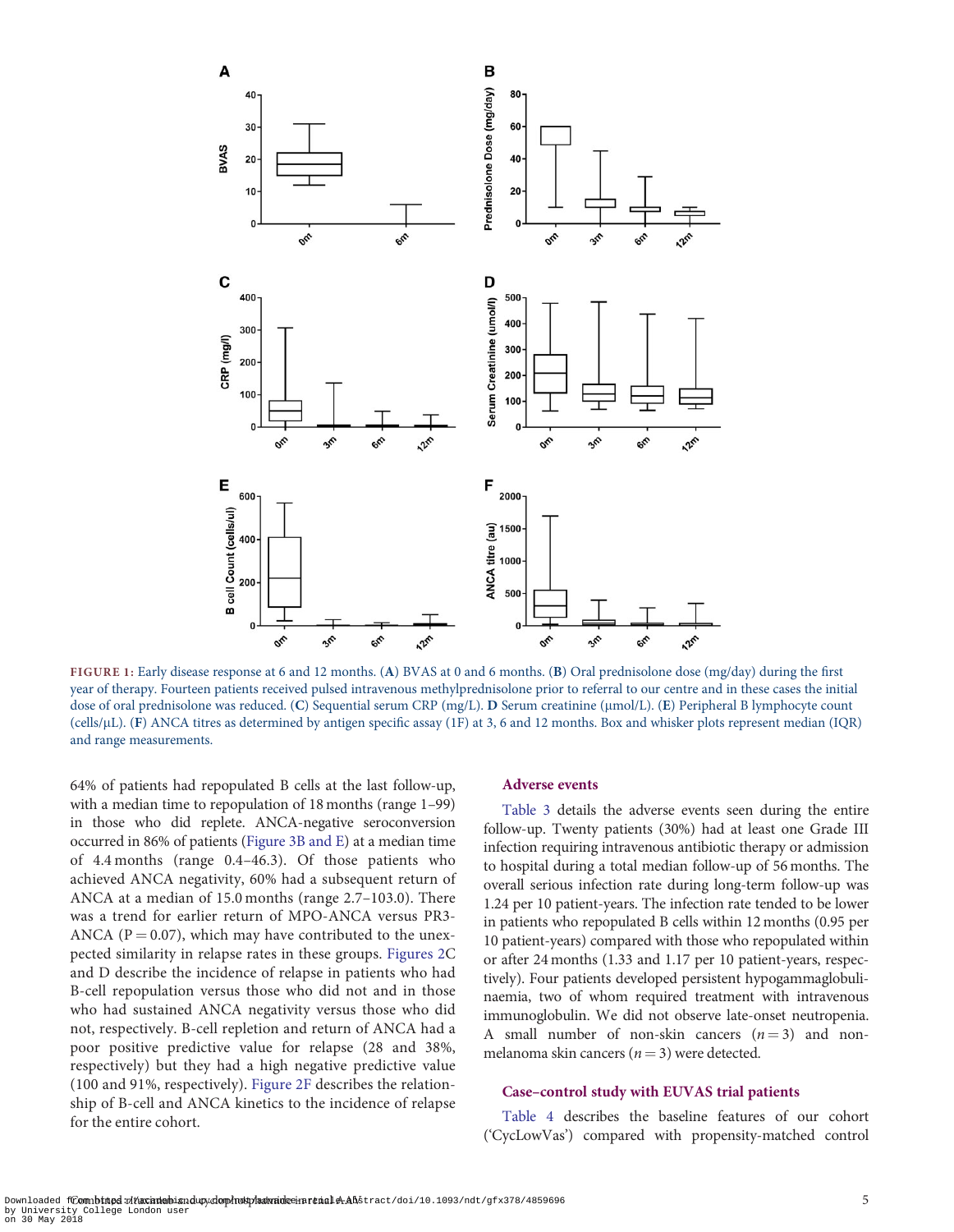<span id="page-4-0"></span>

FIGURE 1: Early disease response at 6 and 12 months. (A) BVAS at 0 and 6 months. (B) Oral prednisolone dose (mg/day) during the first year of therapy. Fourteen patients received pulsed intravenous methylprednisolone prior to referral to our centre and in these cases the initial dose of oral prednisolone was reduced. (C) Sequential serum CRP (mg/L). D Serum creatinine (µmol/L). (E) Peripheral B lymphocyte count (cells/lL). (F) ANCA titres as determined by antigen specific assay (1F) at 3, 6 and 12 months. Box and whisker plots represent median (IQR) and range measurements.

64% of patients had repopulated B cells at the last follow-up, with a median time to repopulation of 18 months (range 1–99) in those who did replete. ANCA-negative seroconversion occurred in 86% of patients [\(Figure 3B and E\)](#page-7-0) at a median time of 4.4 months (range 0.4–46.3). Of those patients who achieved ANCA negativity, 60% had a subsequent return of ANCA at a median of 15.0 months (range 2.7–103.0). There was a trend for earlier return of MPO-ANCA versus PR3- ANCA ( $P = 0.07$ ), which may have contributed to the unexpected similarity in relapse rates in these groups. [Figures 2C](#page-5-0) and D describe the incidence of relapse in patients who had B-cell repopulation versus those who did not and in those who had sustained ANCA negativity versus those who did not, respectively. B-cell repletion and return of ANCA had a poor positive predictive value for relapse (28 and 38%, respectively) but they had a high negative predictive value (100 and 91%, respectively). [Figure 2F](#page-5-0) describes the relationship of B-cell and ANCA kinetics to the incidence of relapse for the entire cohort.

#### Adverse events

[Table 3](#page-6-0) details the adverse events seen during the entire follow-up. Twenty patients (30%) had at least one Grade III infection requiring intravenous antibiotic therapy or admission to hospital during a total median follow-up of 56 months. The overall serious infection rate during long-term follow-up was 1.24 per 10 patient-years. The infection rate tended to be lower in patients who repopulated B cells within 12 months (0.95 per 10 patient-years) compared with those who repopulated within or after 24 months (1.33 and 1.17 per 10 patient-years, respectively). Four patients developed persistent hypogammaglobulinaemia, two of whom required treatment with intravenous immunoglobulin. We did not observe late-onset neutropenia. A small number of non-skin cancers  $(n = 3)$  and nonmelanoma skin cancers ( $n = 3$ ) were detected.

#### Case–control study with EUVAS trial patients

[Table 4](#page-8-0) describes the baseline features of our cohort ('CycLowVas') compared with propensity-matched control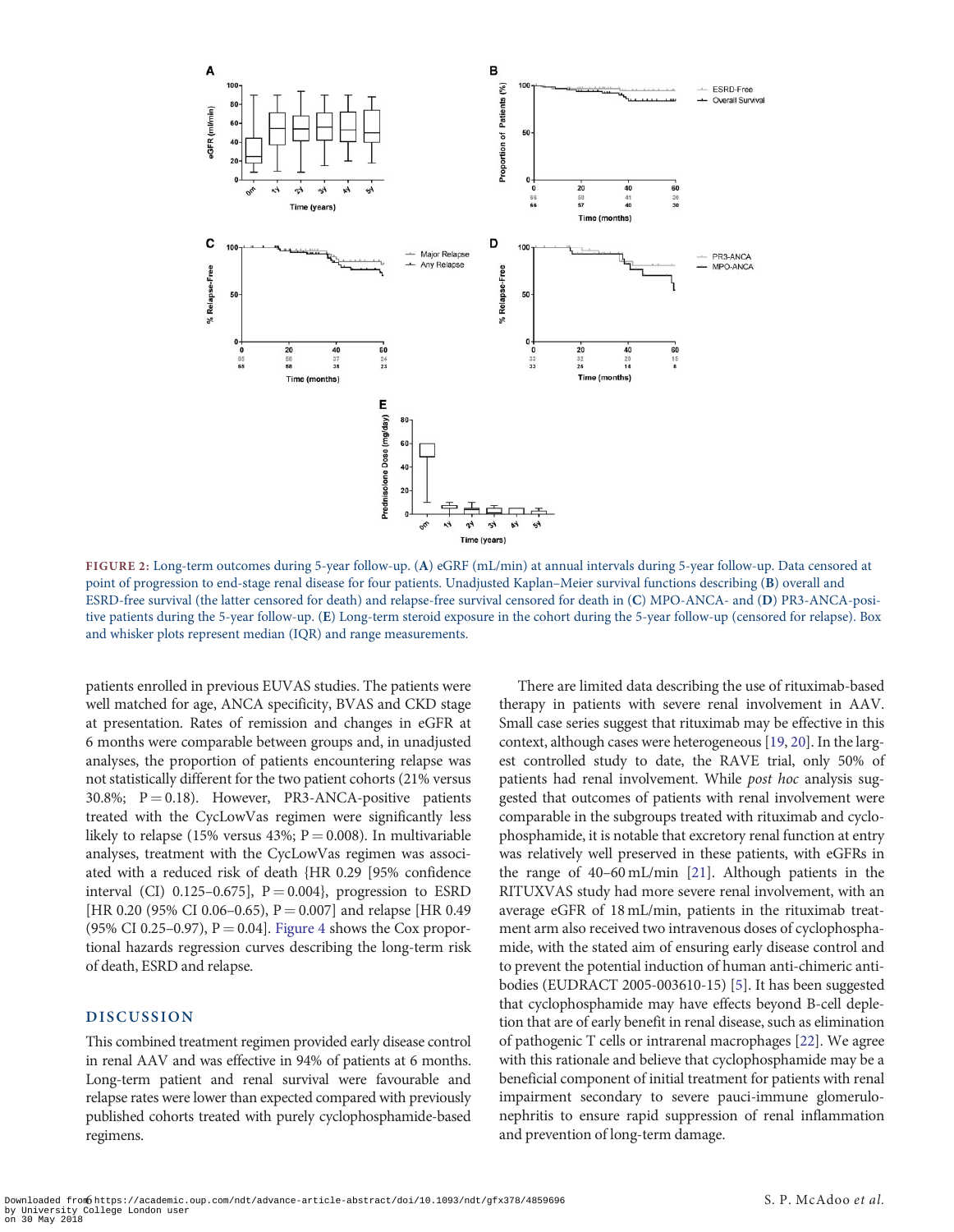<span id="page-5-0"></span>

FIGURE 2: Long-term outcomes during 5-year follow-up. (A) eGRF (mL/min) at annual intervals during 5-year follow-up. Data censored at point of progression to end-stage renal disease for four patients. Unadjusted Kaplan–Meier survival functions describing (B) overall and ESRD-free survival (the latter censored for death) and relapse-free survival censored for death in (C) MPO-ANCA- and (D) PR3-ANCA-positive patients during the 5-year follow-up. (E) Long-term steroid exposure in the cohort during the 5-year follow-up (censored for relapse). Box and whisker plots represent median (IQR) and range measurements.

patients enrolled in previous EUVAS studies. The patients were well matched for age, ANCA specificity, BVAS and CKD stage at presentation. Rates of remission and changes in eGFR at 6 months were comparable between groups and, in unadjusted analyses, the proportion of patients encountering relapse was not statistically different for the two patient cohorts (21% versus 30.8%;  $P = 0.18$ ). However, PR3-ANCA-positive patients treated with the CycLowVas regimen were significantly less likely to relapse (15% versus 43%;  $P = 0.008$ ). In multivariable analyses, treatment with the CycLowVas regimen was associated with a reduced risk of death {HR 0.29 [95% confidence interval (CI) 0.125-0.675],  $P = 0.004$ }, progression to ESRD [HR 0.20 (95% CI 0.06–0.65), P = 0.007] and relapse [HR 0.49 (95% CI 0.25–0.97),  $P = 0.04$ . [Figure 4](#page-8-0) shows the Cox proportional hazards regression curves describing the long-term risk of death, ESRD and relapse.

## DISCUSSION

This combined treatment regimen provided early disease control in renal AAV and was effective in 94% of patients at 6 months. Long-term patient and renal survival were favourable and relapse rates were lower than expected compared with previously published cohorts treated with purely cyclophosphamide-based regimens.

There are limited data describing the use of rituximab-based therapy in patients with severe renal involvement in AAV. Small case series suggest that rituximab may be effective in this context, although cases were heterogeneous [\[19,](#page-10-0) [20](#page-10-0)]. In the largest controlled study to date, the RAVE trial, only 50% of patients had renal involvement. While post hoc analysis suggested that outcomes of patients with renal involvement were comparable in the subgroups treated with rituximab and cyclophosphamide, it is notable that excretory renal function at entry was relatively well preserved in these patients, with eGFRs in the range of 40–60 mL/min [\[21\]](#page-10-0). Although patients in the RITUXVAS study had more severe renal involvement, with an average eGFR of 18 mL/min, patients in the rituximab treatment arm also received two intravenous doses of cyclophosphamide, with the stated aim of ensuring early disease control and to prevent the potential induction of human anti-chimeric antibodies (EUDRACT 2005-003610-15) [\[5](#page-9-0)]. It has been suggested that cyclophosphamide may have effects beyond B-cell depletion that are of early benefit in renal disease, such as elimination of pathogenic T cells or intrarenal macrophages [[22](#page-10-0)]. We agree with this rationale and believe that cyclophosphamide may be a beneficial component of initial treatment for patients with renal impairment secondary to severe pauci-immune glomerulonephritis to ensure rapid suppression of renal inflammation and prevention of long-term damage.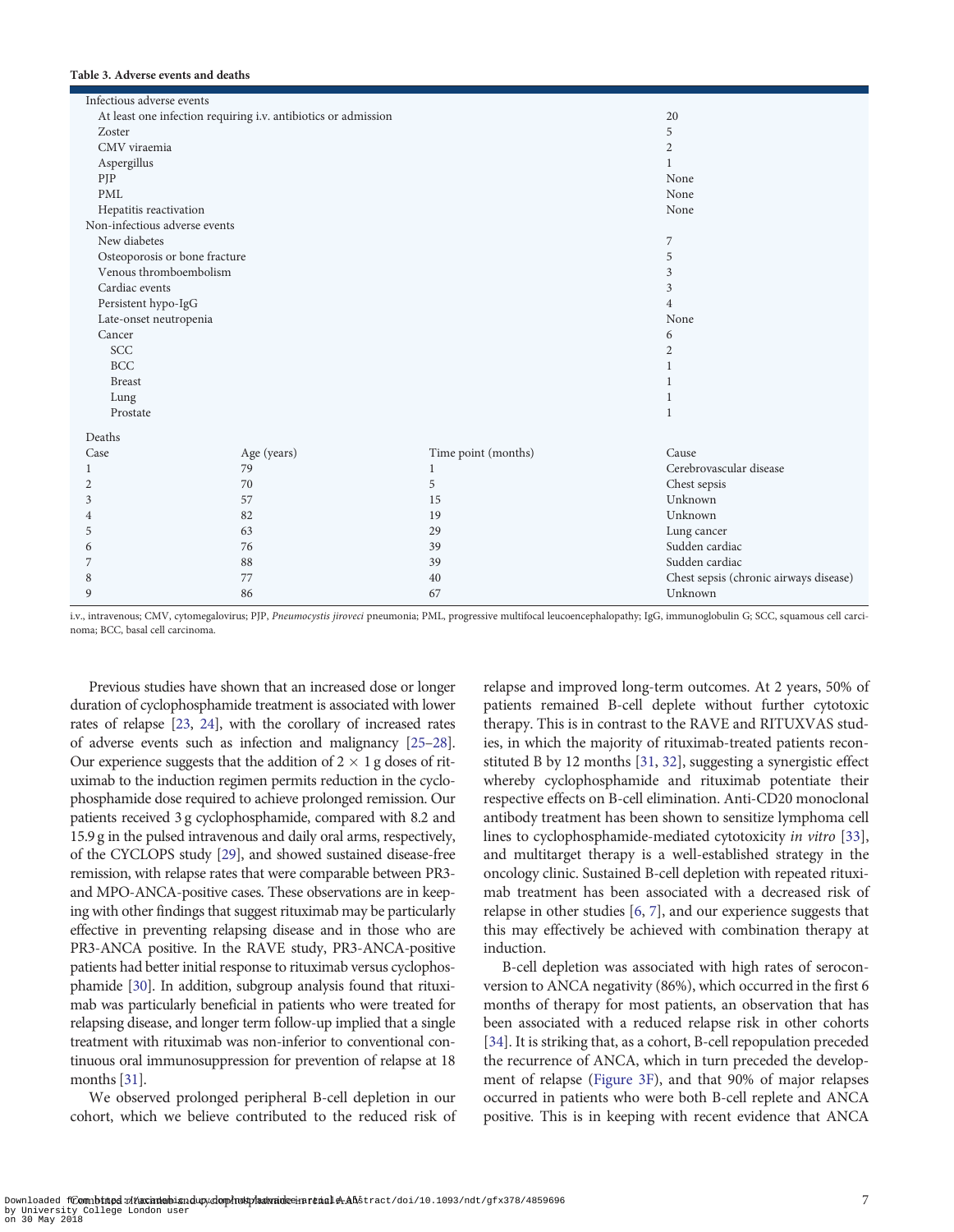## <span id="page-6-0"></span>Table 3. Adverse events and deaths

| Infectious adverse events     |                                                                |                     |                                        |
|-------------------------------|----------------------------------------------------------------|---------------------|----------------------------------------|
|                               | At least one infection requiring i.v. antibiotics or admission |                     | 20                                     |
| Zoster                        |                                                                |                     | 5                                      |
| CMV viraemia                  |                                                                |                     | $\mathbf{2}$                           |
| Aspergillus                   |                                                                |                     | 1                                      |
| PJP                           |                                                                |                     | None                                   |
| <b>PML</b>                    |                                                                |                     | None                                   |
| Hepatitis reactivation        |                                                                |                     | None                                   |
| Non-infectious adverse events |                                                                |                     |                                        |
| New diabetes                  |                                                                |                     | 7                                      |
| Osteoporosis or bone fracture |                                                                |                     | 5                                      |
| Venous thromboembolism        |                                                                |                     | 3                                      |
| Cardiac events                |                                                                |                     | 3                                      |
| Persistent hypo-IgG           |                                                                |                     | $\overline{4}$                         |
| Late-onset neutropenia        |                                                                |                     | None                                   |
| Cancer                        |                                                                |                     | 6                                      |
| SCC                           |                                                                |                     | $\mathbf{2}$                           |
| <b>BCC</b>                    |                                                                |                     | 1                                      |
| <b>Breast</b>                 |                                                                |                     | 1                                      |
| Lung                          |                                                                |                     | 1                                      |
| Prostate                      |                                                                |                     | 1                                      |
| Deaths                        |                                                                |                     |                                        |
| Case                          | Age (years)                                                    | Time point (months) | Cause                                  |
| 1                             | 79                                                             | 1                   | Cerebrovascular disease                |
| 2                             | 70                                                             | 5                   | Chest sepsis                           |
| 3                             | 57                                                             | 15                  | Unknown                                |
| 4                             | 82                                                             | 19                  | Unknown                                |
| 5                             | 63                                                             | 29                  | Lung cancer                            |
| 6                             | 76                                                             | 39                  | Sudden cardiac                         |
| 7                             | 88                                                             | 39                  | Sudden cardiac                         |
| 8                             | 77                                                             | 40                  | Chest sepsis (chronic airways disease) |
| 9                             | 86                                                             | 67                  | Unknown                                |

i.v., intravenous; CMV, cytomegalovirus; PJP, Pneumocystis jiroveci pneumonia; PML, progressive multifocal leucoencephalopathy; IgG, immunoglobulin G; SCC, squamous cell carcinoma; BCC, basal cell carcinoma.

Previous studies have shown that an increased dose or longer duration of cyclophosphamide treatment is associated with lower rates of relapse [\[23](#page-10-0), [24\]](#page-10-0), with the corollary of increased rates of adverse events such as infection and malignancy [[25–28](#page-10-0)]. Our experience suggests that the addition of  $2 \times 1$  g doses of rituximab to the induction regimen permits reduction in the cyclophosphamide dose required to achieve prolonged remission. Our patients received 3 g cyclophosphamide, compared with 8.2 and 15.9 g in the pulsed intravenous and daily oral arms, respectively, of the CYCLOPS study [\[29](#page-10-0)], and showed sustained disease-free remission, with relapse rates that were comparable between PR3 and MPO-ANCA-positive cases. These observations are in keeping with other findings that suggest rituximab may be particularly effective in preventing relapsing disease and in those who are PR3-ANCA positive. In the RAVE study, PR3-ANCA-positive patients had better initial response to rituximab versus cyclophosphamide [\[30](#page-10-0)]. In addition, subgroup analysis found that rituximab was particularly beneficial in patients who were treated for relapsing disease, and longer term follow-up implied that a single treatment with rituximab was non-inferior to conventional continuous oral immunosuppression for prevention of relapse at 18 months [[31\]](#page-10-0).

We observed prolonged peripheral B-cell depletion in our cohort, which we believe contributed to the reduced risk of relapse and improved long-term outcomes. At 2 years, 50% of patients remained B-cell deplete without further cytotoxic therapy. This is in contrast to the RAVE and RITUXVAS studies, in which the majority of rituximab-treated patients reconstituted B by 12 months [\[31](#page-10-0), [32\]](#page-10-0), suggesting a synergistic effect whereby cyclophosphamide and rituximab potentiate their respective effects on B-cell elimination. Anti-CD20 monoclonal antibody treatment has been shown to sensitize lymphoma cell lines to cyclophosphamide-mediated cytotoxicity in vitro [\[33](#page-10-0)], and multitarget therapy is a well-established strategy in the oncology clinic. Sustained B-cell depletion with repeated rituximab treatment has been associated with a decreased risk of relapse in other studies [\[6](#page-9-0), [7\]](#page-9-0), and our experience suggests that this may effectively be achieved with combination therapy at induction.

B-cell depletion was associated with high rates of seroconversion to ANCA negativity (86%), which occurred in the first 6 months of therapy for most patients, an observation that has been associated with a reduced relapse risk in other cohorts [[34](#page-10-0)]. It is striking that, as a cohort, B-cell repopulation preceded the recurrence of ANCA, which in turn preceded the development of relapse [\(Figure 3F\)](#page-7-0), and that 90% of major relapses occurred in patients who were both B-cell replete and ANCA positive. This is in keeping with recent evidence that ANCA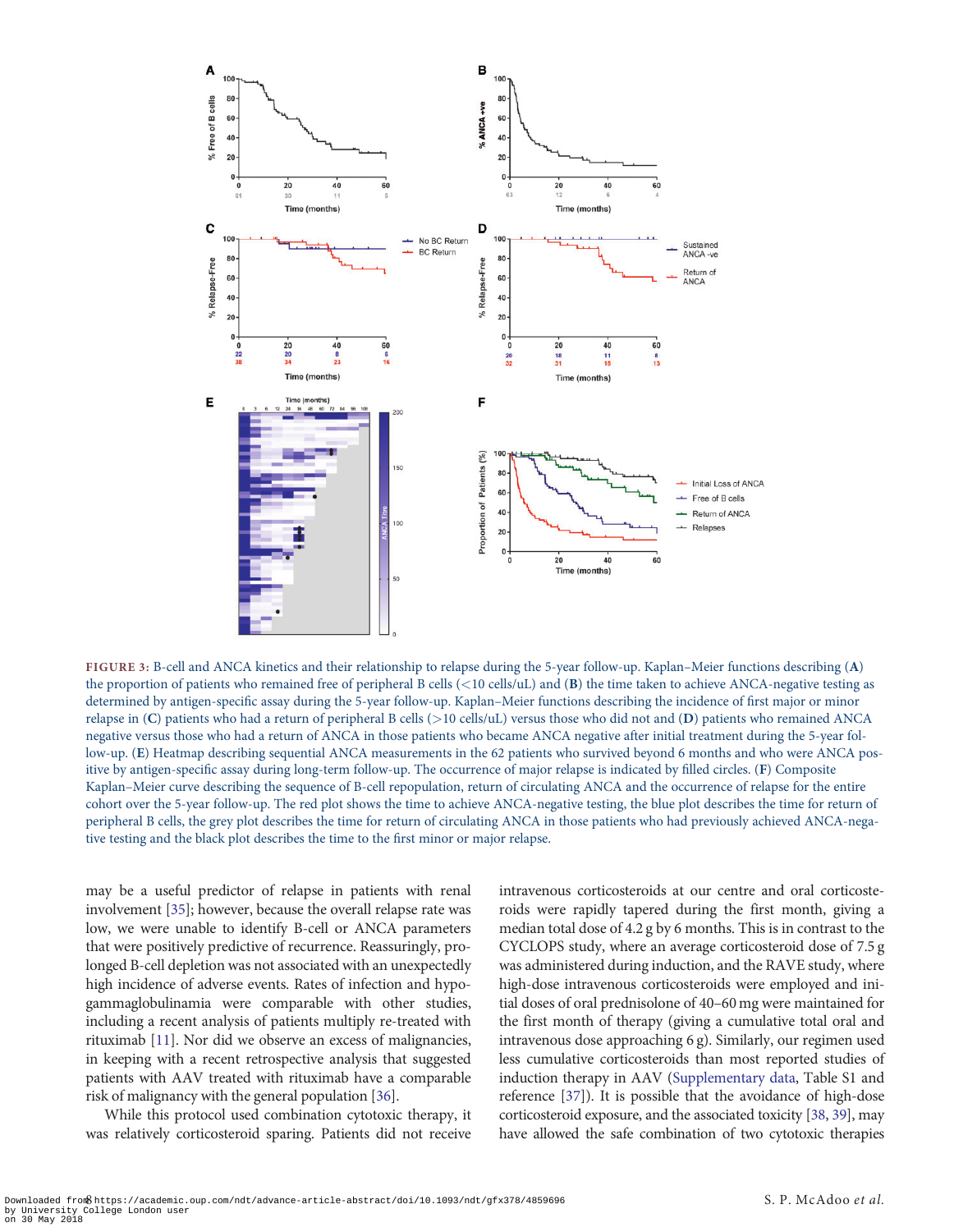<span id="page-7-0"></span>

FIGURE 3: B-cell and ANCA kinetics and their relationship to relapse during the 5-year follow-up. Kaplan–Meier functions describing (A) the proportion of patients who remained free of peripheral B cells  $(<10$  cells/uL) and  $(B)$  the time taken to achieve ANCA-negative testing as determined by antigen-specific assay during the 5-year follow-up. Kaplan–Meier functions describing the incidence of first major or minor relapse in (C) patients who had a return of peripheral B cells (>10 cells/uL) versus those who did not and (D) patients who remained ANCA negative versus those who had a return of ANCA in those patients who became ANCA negative after initial treatment during the 5-year follow-up. (E) Heatmap describing sequential ANCA measurements in the 62 patients who survived beyond 6 months and who were ANCA positive by antigen-specific assay during long-term follow-up. The occurrence of major relapse is indicated by filled circles. (F) Composite Kaplan–Meier curve describing the sequence of B-cell repopulation, return of circulating ANCA and the occurrence of relapse for the entire cohort over the 5-year follow-up. The red plot shows the time to achieve ANCA-negative testing, the blue plot describes the time for return of peripheral B cells, the grey plot describes the time for return of circulating ANCA in those patients who had previously achieved ANCA-negative testing and the black plot describes the time to the first minor or major relapse.

may be a useful predictor of relapse in patients with renal involvement [[35\]](#page-10-0); however, because the overall relapse rate was low, we were unable to identify B-cell or ANCA parameters that were positively predictive of recurrence. Reassuringly, prolonged B-cell depletion was not associated with an unexpectedly high incidence of adverse events. Rates of infection and hypogammaglobulinamia were comparable with other studies, including a recent analysis of patients multiply re-treated with rituximab [\[11](#page-10-0)]. Nor did we observe an excess of malignancies, in keeping with a recent retrospective analysis that suggested patients with AAV treated with rituximab have a comparable risk of malignancy with the general population [[36\]](#page-10-0).

While this protocol used combination cytotoxic therapy, it was relatively corticosteroid sparing. Patients did not receive intravenous corticosteroids at our centre and oral corticosteroids were rapidly tapered during the first month, giving a median total dose of 4.2 g by 6 months. This is in contrast to the CYCLOPS study, where an average corticosteroid dose of 7.5 g was administered during induction, and the RAVE study, where high-dose intravenous corticosteroids were employed and initial doses of oral prednisolone of 40–60 mg were maintained for the first month of therapy (giving a cumulative total oral and intravenous dose approaching 6 g). Similarly, our regimen used less cumulative corticosteroids than most reported studies of induction therapy in AAV [\(Supplementary data,](https://academic.oup.com/ndt/article-lookup/doi/10.1093/ndt/gfx378#supplementary-data) Table S1 and reference [\[37\]](#page-10-0)). It is possible that the avoidance of high-dose corticosteroid exposure, and the associated toxicity [[38](#page-10-0), [39\]](#page-10-0), may have allowed the safe combination of two cytotoxic therapies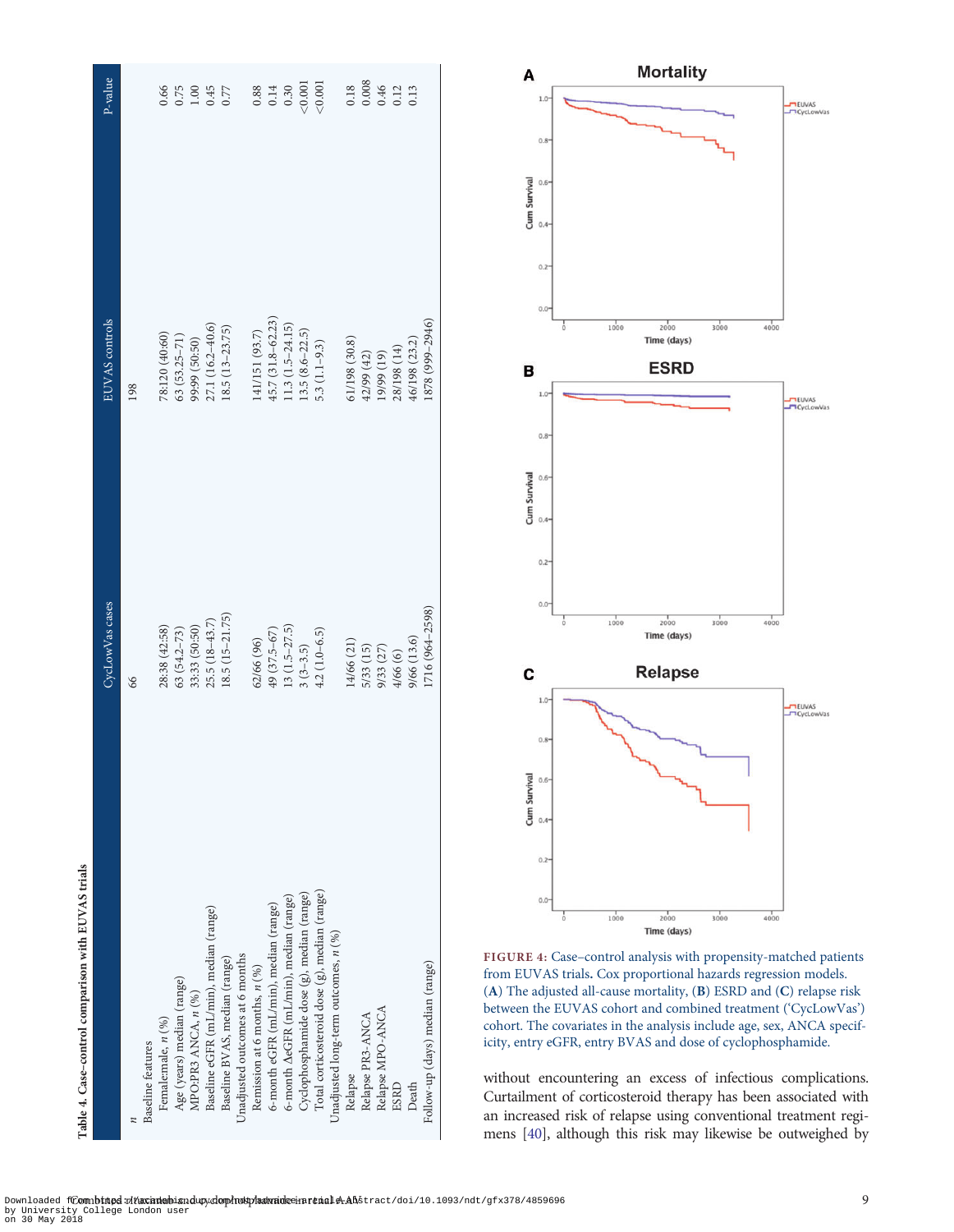<span id="page-8-0"></span>

| CycLowVas cases  | EUVAS controls       | P-value |
|------------------|----------------------|---------|
|                  | 198                  |         |
|                  |                      |         |
| 28:38 (42:58)    | 78:120 (40:60)       | 0.66    |
| $63(54.2 - 73)$  | $63(53.25 - 71)$     | 0.75    |
| 33:33 (50:50)    | 99:99 (50:50)        | 1.00    |
| $25.5(18-43.7)$  | $27.1(16.2 - 40.6)$  | 0.45    |
| $18.5(15-21.75)$ | $(13-23.75)$         | 0.77    |
|                  |                      |         |
| 62/66 (96)       | 141/151 (93.7)       | 0.88    |
| 49 (37.5-67)     | 45.7 (31.8-62.23)    | 0.14    |
| $13(1.5-27.5)$   | $1.3(1.5-24.15)$     | 0.30    |
| $3(3-3.5)$       | $(3.5 (8.6 - 22.5))$ | < 0.001 |
| $4.2(1.0-6.5)$   | $6.3(1.1-9.3)$       | < 0.001 |
|                  |                      |         |
| 14/66 (21)       | 61/198 (30.8)        | 0.18    |
| 5/33 (15)        | 42/99 (42)           | 0.008   |
| 9/33 (27)        | $(61)$ 66/61         | 0.46    |
| 4/66 (6)         | 28/198 (14)          | 0.12    |
| 9/66 (13.6)      | 46/198 (23.2)        | 0.13    |
| 1716 (964-2598)  | 1878 (999-2946)      |         |
|                  |                      |         |



FIGURE 4: Case–control analysis with propensity-matched patients from EUVAS trials. Cox proportional hazards regression models. (A) The adjusted all-cause mortality, (B) ESRD and (C) relapse risk between the EUVAS cohort and combined treatment ('CycLowVas') cohort. The covariates in the analysis include age, sex, ANCA specificity, entry eGFR, entry BVAS and dose of cyclophosphamide.

without encountering an excess of infectious complications. Curtailment of corticosteroid therapy has been associated with an increased risk of relapse using conventional treatment regimens [[40\]](#page-10-0), although this risk may likewise be outweighed by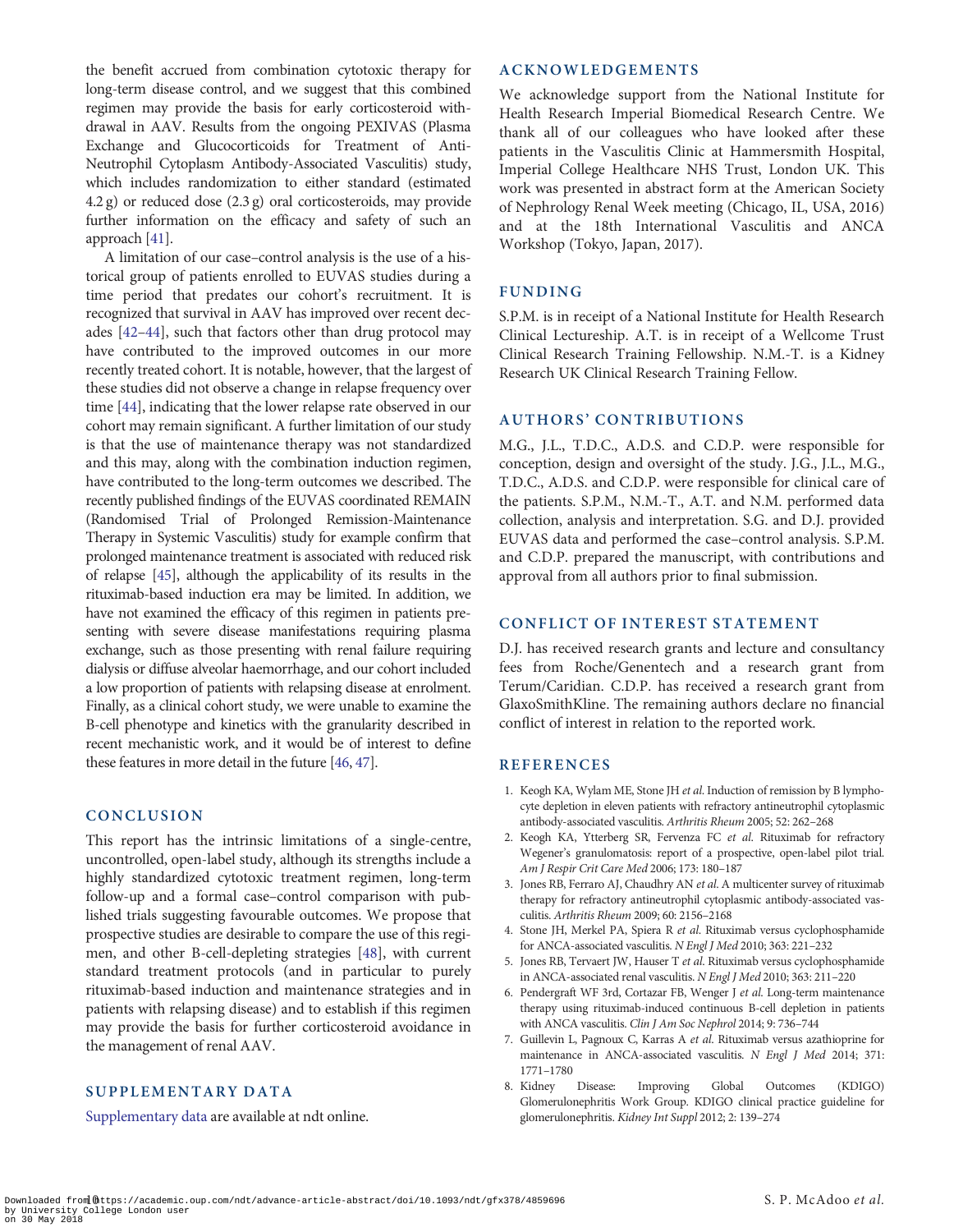<span id="page-9-0"></span>the benefit accrued from combination cytotoxic therapy for long-term disease control, and we suggest that this combined regimen may provide the basis for early corticosteroid withdrawal in AAV. Results from the ongoing PEXIVAS (Plasma Exchange and Glucocorticoids for Treatment of Anti-Neutrophil Cytoplasm Antibody-Associated Vasculitis) study, which includes randomization to either standard (estimated 4.2 g) or reduced dose (2.3 g) oral corticosteroids, may provide further information on the efficacy and safety of such an approach [\[41\]](#page-10-0).

A limitation of our case–control analysis is the use of a historical group of patients enrolled to EUVAS studies during a time period that predates our cohort's recruitment. It is recognized that survival in AAV has improved over recent decades [\[42–44\]](#page-10-0), such that factors other than drug protocol may have contributed to the improved outcomes in our more recently treated cohort. It is notable, however, that the largest of these studies did not observe a change in relapse frequency over time [\[44\]](#page-10-0), indicating that the lower relapse rate observed in our cohort may remain significant. A further limitation of our study is that the use of maintenance therapy was not standardized and this may, along with the combination induction regimen, have contributed to the long-term outcomes we described. The recently published findings of the EUVAS coordinated REMAIN (Randomised Trial of Prolonged Remission-Maintenance Therapy in Systemic Vasculitis) study for example confirm that prolonged maintenance treatment is associated with reduced risk of relapse [\[45](#page-10-0)], although the applicability of its results in the rituximab-based induction era may be limited. In addition, we have not examined the efficacy of this regimen in patients presenting with severe disease manifestations requiring plasma exchange, such as those presenting with renal failure requiring dialysis or diffuse alveolar haemorrhage, and our cohort included a low proportion of patients with relapsing disease at enrolment. Finally, as a clinical cohort study, we were unable to examine the B-cell phenotype and kinetics with the granularity described in recent mechanistic work, and it would be of interest to define these features in more detail in the future [\[46](#page-10-0), [47](#page-10-0)].

# CONCLUSION

This report has the intrinsic limitations of a single-centre, uncontrolled, open-label study, although its strengths include a highly standardized cytotoxic treatment regimen, long-term follow-up and a formal case–control comparison with published trials suggesting favourable outcomes. We propose that prospective studies are desirable to compare the use of this regimen, and other B-cell-depleting strategies [[48](#page-10-0)], with current standard treatment protocols (and in particular to purely rituximab-based induction and maintenance strategies and in patients with relapsing disease) and to establish if this regimen may provide the basis for further corticosteroid avoidance in the management of renal AAV.

# SUPPLEMENTARY DATA

[Supplementary data](https://academic.oup.com/ndt/article-lookup/doi/10.1093/ndt/gfx378#supplementary-data) are available at ndt online.

## ACKNOWLEDGEMENTS

We acknowledge support from the National Institute for Health Research Imperial Biomedical Research Centre. We thank all of our colleagues who have looked after these patients in the Vasculitis Clinic at Hammersmith Hospital, Imperial College Healthcare NHS Trust, London UK. This work was presented in abstract form at the American Society of Nephrology Renal Week meeting (Chicago, IL, USA, 2016) and at the 18th International Vasculitis and ANCA Workshop (Tokyo, Japan, 2017).

# FUNDING

S.P.M. is in receipt of a National Institute for Health Research Clinical Lectureship. A.T. is in receipt of a Wellcome Trust Clinical Research Training Fellowship. N.M.-T. is a Kidney Research UK Clinical Research Training Fellow.

# AUTHORS' CONTRIBUTIONS

M.G., J.L., T.D.C., A.D.S. and C.D.P. were responsible for conception, design and oversight of the study. J.G., J.L., M.G., T.D.C., A.D.S. and C.D.P. were responsible for clinical care of the patients. S.P.M., N.M.-T., A.T. and N.M. performed data collection, analysis and interpretation. S.G. and D.J. provided EUVAS data and performed the case–control analysis. S.P.M. and C.D.P. prepared the manuscript, with contributions and approval from all authors prior to final submission.

# CONFLICT OF INTEREST STATEMENT

D.J. has received research grants and lecture and consultancy fees from Roche/Genentech and a research grant from Terum/Caridian. C.D.P. has received a research grant from GlaxoSmithKline. The remaining authors declare no financial conflict of interest in relation to the reported work.

## REFERENCES

- 1. Keogh KA, Wylam ME, Stone JH et al. Induction of remission by B lymphocyte depletion in eleven patients with refractory antineutrophil cytoplasmic antibody-associated vasculitis. Arthritis Rheum 2005; 52: 262–268
- 2. Keogh KA, Ytterberg SR, Fervenza FC et al. Rituximab for refractory Wegener's granulomatosis: report of a prospective, open-label pilot trial. Am J Respir Crit Care Med 2006; 173: 180–187
- 3. Jones RB, Ferraro AJ, Chaudhry AN et al. A multicenter survey of rituximab therapy for refractory antineutrophil cytoplasmic antibody-associated vasculitis. Arthritis Rheum 2009; 60: 2156–2168
- [4.](#page-0-0) Stone JH, Merkel PA, Spiera R et al. Rituximab versus cyclophosphamide for ANCA-associated vasculitis. N Engl J Med 2010; 363: 221–232
- [5.](#page-0-0) Jones RB, Tervaert JW, Hauser T et al. Rituximab versus cyclophosphamide in ANCA-associated renal vasculitis. N Engl J Med 2010; 363: 211–220
- [6.](#page-1-0) Pendergraft WF 3rd, Cortazar FB, Wenger J et al. Long-term maintenance therapy using rituximab-induced continuous B-cell depletion in patients with ANCA vasculitis. Clin J Am Soc Nephrol 2014; 9: 736–744
- [7.](#page-1-0) Guillevin L, Pagnoux C, Karras A et al. Rituximab versus azathioprine for maintenance in ANCA-associated vasculitis. N Engl J Med 2014; 371: 1771–1780
- [8.](#page-1-0) Kidney Disease: Improving Global Outcomes (KDIGO) Glomerulonephritis Work Group. KDIGO clinical practice guideline for glomerulonephritis. Kidney Int Suppl 2012; 2: 139–274